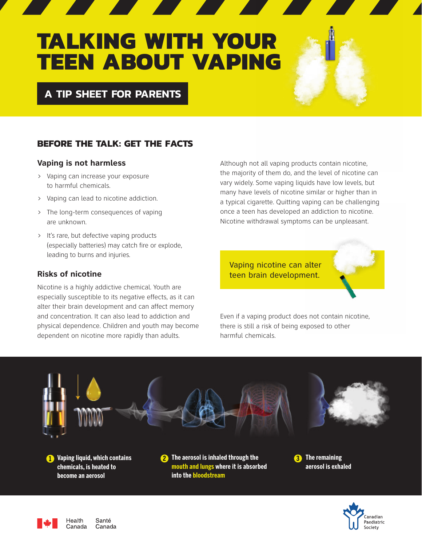# **TALKING WITH YOUR TEEN ABOUT VAPING**

**A TIP SHEET FOR PARENTS**

# **BEFORE THE TALK: GET THE FACTS**

### **Vaping is not harmless**

- › Vaping can increase your exposure to harmful chemicals.
- › Vaping can lead to nicotine addiction.
- › The long-term consequences of vaping are unknown.
- › It's rare, but defective vaping products (especially batteries) may catch fire or explode, leading to burns and injuries.

# **Risks of nicotine**

Nicotine is a highly addictive chemical. Youth are especially susceptible to its negative effects, as it can alter their brain development and can affect memory and concentration. It can also lead to addiction and physical dependence. Children and youth may become dependent on nicotine more rapidly than adults.

Although not all vaping products contain nicotine, the majority of them do, and the level of nicotine can vary widely. Some vaping liquids have low levels, but many have levels of nicotine similar or higher than in a typical cigarette. Quitting vaping can be challenging once a teen has developed an addiction to nicotine. Nicotine withdrawal symptoms can be unpleasant.

Vaping nicotine can alter teen brain development.

Even if a vaping product does not contain nicotine, there is still a risk of being exposed to other harmful chemicals.





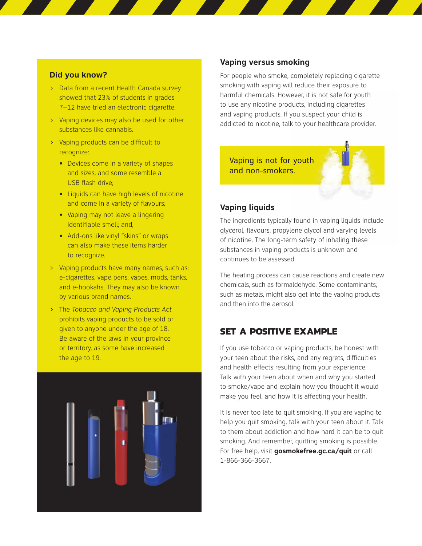#### **Did you know?**

- › Data from a recent Health Canada survey showed that 23% of students in grades 7–12 have tried an electronic cigarette.
- › Vaping devices may also be used for other substances like cannabis.
- › Vaping products can be difficult to recognize:
	- **•** Devices come in a variety of shapes and sizes, and some resemble a USB flash drive;
	- **•** Liquids can have high levels of nicotine and come in a variety of flavours;
	- **•** Vaping may not leave a lingering identifiable smell; and,
	- **•** Add-ons like vinyl "skins" or wraps can also make these items harder to recognize.
- › Vaping products have many names, such as: e-cigarettes, vape pens, vapes, mods, tanks, and e-hookahs. They may also be known by various brand names.
- › The *Tobacco and Vaping Products Act* prohibits vaping products to be sold or given to anyone under the age of 18. Be aware of the laws in your province or territory, as some have increased the age to 19.



#### **Vaping versus smoking**

For people who smoke, completely replacing cigarette smoking with vaping will reduce their exposure to harmful chemicals. However, it is not safe for youth to use any nicotine products, including cigarettes and vaping products. If you suspect your child is addicted to nicotine, talk to your healthcare provider.

Vaping is not for youth and non-smokers.

# **Vaping liquids**

The ingredients typically found in vaping liquids include glycerol, flavours, propylene glycol and varying levels of nicotine. The long-term safety of inhaling these substances in vaping products is unknown and continues to be assessed.

The heating process can cause reactions and create new chemicals, such as formaldehyde. Some contaminants, such as metals, might also get into the vaping products and then into the aerosol.

# **SET A POSITIVE EXAMPLE**

If you use tobacco or vaping products, be honest with your teen about the risks, and any regrets, difficulties and health effects resulting from your experience. Talk with your teen about when and why you started to smoke/vape and explain how you thought it would make you feel, and how it is affecting your health.

It is never too late to quit smoking. If you are vaping to help you quit smoking, talk with your teen about it. Talk to them about addiction and how hard it can be to quit smoking. And remember, quitting smoking is possible. For free help, visit **gosmokefree.gc.ca/quit** or call 1-866-366-3667.